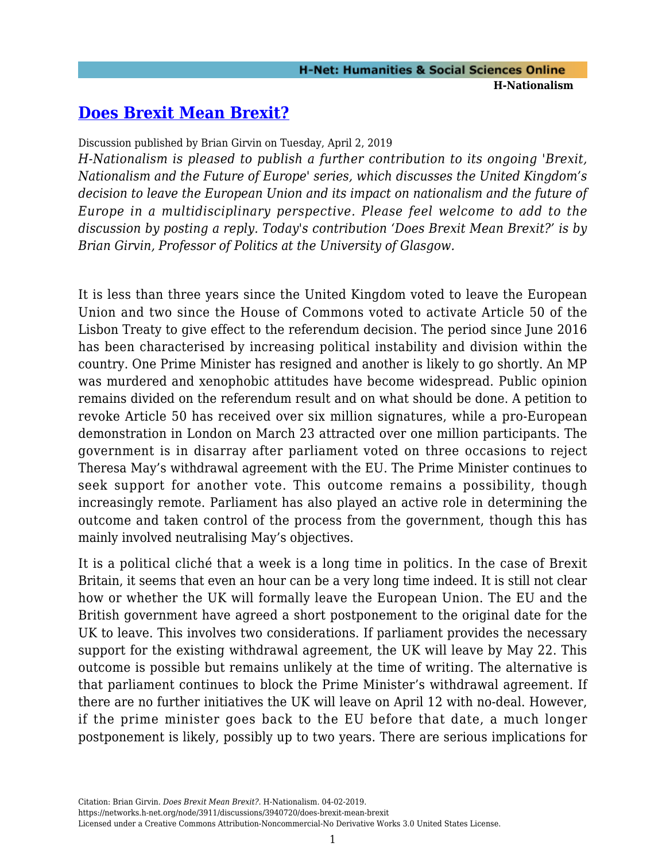# **[Does Brexit Mean Brexit?](https://networks.h-net.org/node/3911/discussions/3940720/does-brexit-mean-brexit)**

Discussion published by Brian Girvin on Tuesday, April 2, 2019

*H-Nationalism is pleased to publish a further contribution to its ongoing 'Brexit, Nationalism and the Future of Europe' series, which discusses the United Kingdom's decision to leave the European Union and its impact on nationalism and the future of Europe in a multidisciplinary perspective. Please feel welcome to add to the discussion by posting a reply. Today's contribution 'Does Brexit Mean Brexit?' is by Brian Girvin, Professor of Politics at the University of Glasgow.*

It is less than three years since the United Kingdom voted to leave the European Union and two since the House of Commons voted to activate Article 50 of the Lisbon Treaty to give effect to the referendum decision. The period since June 2016 has been characterised by increasing political instability and division within the country. One Prime Minister has resigned and another is likely to go shortly. An MP was murdered and xenophobic attitudes have become widespread. Public opinion remains divided on the referendum result and on what should be done. A petition to revoke Article 50 has received over six million signatures, while a pro-European demonstration in London on March 23 attracted over one million participants. The government is in disarray after parliament voted on three occasions to reject Theresa May's withdrawal agreement with the EU. The Prime Minister continues to seek support for another vote. This outcome remains a possibility, though increasingly remote. Parliament has also played an active role in determining the outcome and taken control of the process from the government, though this has mainly involved neutralising May's objectives.

It is a political cliché that a week is a long time in politics. In the case of Brexit Britain, it seems that even an hour can be a very long time indeed. It is still not clear how or whether the UK will formally leave the European Union. The EU and the British government have agreed a short postponement to the original date for the UK to leave. This involves two considerations. If parliament provides the necessary support for the existing withdrawal agreement, the UK will leave by May 22. This outcome is possible but remains unlikely at the time of writing. The alternative is that parliament continues to block the Prime Minister's withdrawal agreement. If there are no further initiatives the UK will leave on April 12 with no-deal. However, if the prime minister goes back to the EU before that date, a much longer postponement is likely, possibly up to two years. There are serious implications for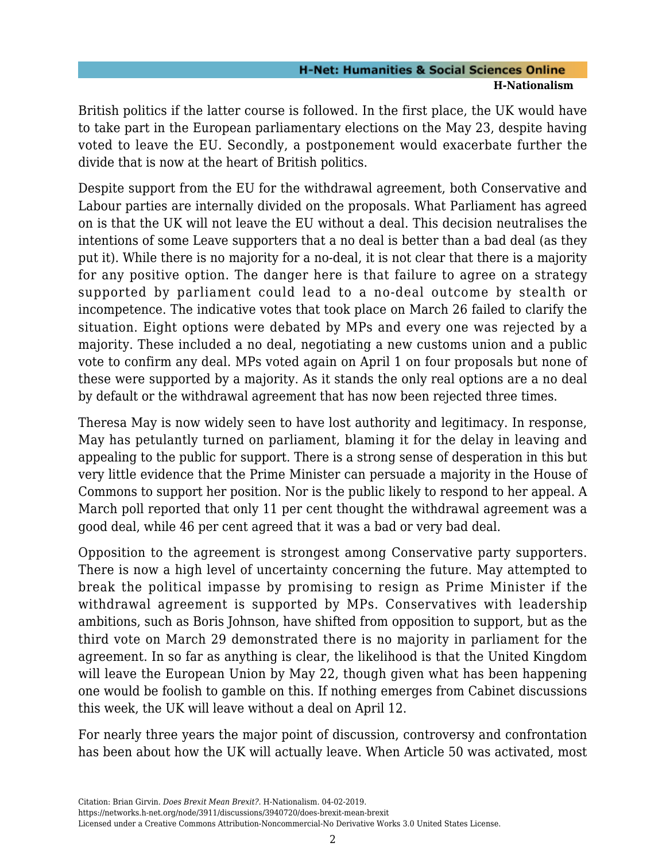British politics if the latter course is followed. In the first place, the UK would have to take part in the European parliamentary elections on the May 23, despite having voted to leave the EU. Secondly, a postponement would exacerbate further the divide that is now at the heart of British politics.

Despite support from the EU for the withdrawal agreement, both Conservative and Labour parties are internally divided on the proposals. What Parliament has agreed on is that the UK will not leave the EU without a deal. This decision neutralises the intentions of some Leave supporters that a no deal is better than a bad deal (as they put it). While there is no majority for a no-deal, it is not clear that there is a majority for any positive option. The danger here is that failure to agree on a strategy supported by parliament could lead to a no-deal outcome by stealth or incompetence. The indicative votes that took place on March 26 failed to clarify the situation. Eight options were debated by MPs and every one was rejected by a majority. These included a no deal, negotiating a new customs union and a public vote to confirm any deal. MPs voted again on April 1 on four proposals but none of these were supported by a majority. As it stands the only real options are a no deal by default or the withdrawal agreement that has now been rejected three times.

Theresa May is now widely seen to have lost authority and legitimacy. In response, May has petulantly turned on parliament, blaming it for the delay in leaving and appealing to the public for support. There is a strong sense of desperation in this but very little evidence that the Prime Minister can persuade a majority in the House of Commons to support her position. Nor is the public likely to respond to her appeal. A March poll reported that only 11 per cent thought the withdrawal agreement was a good deal, while 46 per cent agreed that it was a bad or very bad deal.

Opposition to the agreement is strongest among Conservative party supporters. There is now a high level of uncertainty concerning the future. May attempted to break the political impasse by promising to resign as Prime Minister if the withdrawal agreement is supported by MPs. Conservatives with leadership ambitions, such as Boris Johnson, have shifted from opposition to support, but as the third vote on March 29 demonstrated there is no majority in parliament for the agreement. In so far as anything is clear, the likelihood is that the United Kingdom will leave the European Union by May 22, though given what has been happening one would be foolish to gamble on this. If nothing emerges from Cabinet discussions this week, the UK will leave without a deal on April 12.

For nearly three years the major point of discussion, controversy and confrontation has been about how the UK will actually leave. When Article 50 was activated, most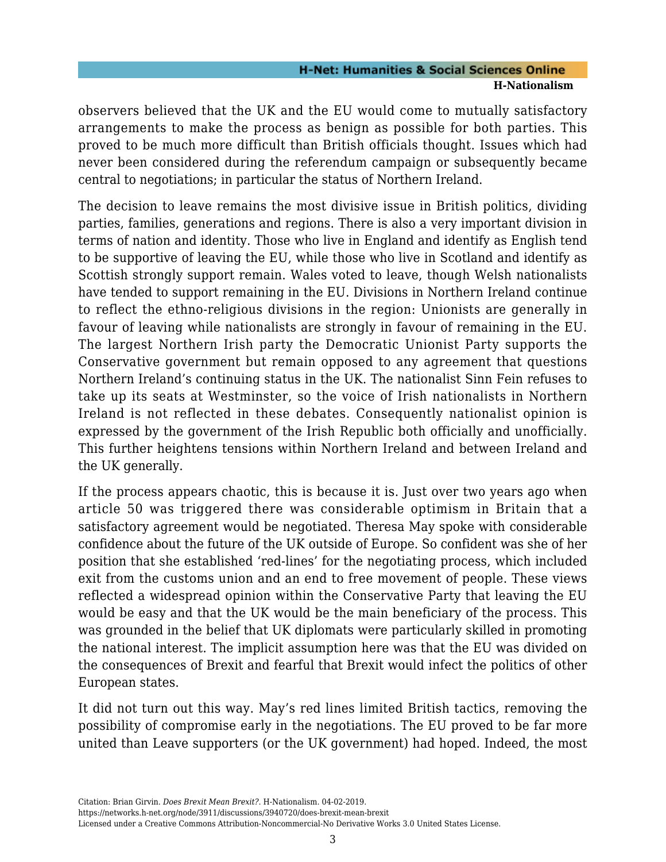observers believed that the UK and the EU would come to mutually satisfactory arrangements to make the process as benign as possible for both parties. This proved to be much more difficult than British officials thought. Issues which had never been considered during the referendum campaign or subsequently became central to negotiations; in particular the status of Northern Ireland.

The decision to leave remains the most divisive issue in British politics, dividing parties, families, generations and regions. There is also a very important division in terms of nation and identity. Those who live in England and identify as English tend to be supportive of leaving the EU, while those who live in Scotland and identify as Scottish strongly support remain. Wales voted to leave, though Welsh nationalists have tended to support remaining in the EU. Divisions in Northern Ireland continue to reflect the ethno-religious divisions in the region: Unionists are generally in favour of leaving while nationalists are strongly in favour of remaining in the EU. The largest Northern Irish party the Democratic Unionist Party supports the Conservative government but remain opposed to any agreement that questions Northern Ireland's continuing status in the UK. The nationalist Sinn Fein refuses to take up its seats at Westminster, so the voice of Irish nationalists in Northern Ireland is not reflected in these debates. Consequently nationalist opinion is expressed by the government of the Irish Republic both officially and unofficially. This further heightens tensions within Northern Ireland and between Ireland and the UK generally.

If the process appears chaotic, this is because it is. Just over two years ago when article 50 was triggered there was considerable optimism in Britain that a satisfactory agreement would be negotiated. Theresa May spoke with considerable confidence about the future of the UK outside of Europe. So confident was she of her position that she established 'red-lines' for the negotiating process, which included exit from the customs union and an end to free movement of people. These views reflected a widespread opinion within the Conservative Party that leaving the EU would be easy and that the UK would be the main beneficiary of the process. This was grounded in the belief that UK diplomats were particularly skilled in promoting the national interest. The implicit assumption here was that the EU was divided on the consequences of Brexit and fearful that Brexit would infect the politics of other European states.

It did not turn out this way. May's red lines limited British tactics, removing the possibility of compromise early in the negotiations. The EU proved to be far more united than Leave supporters (or the UK government) had hoped. Indeed, the most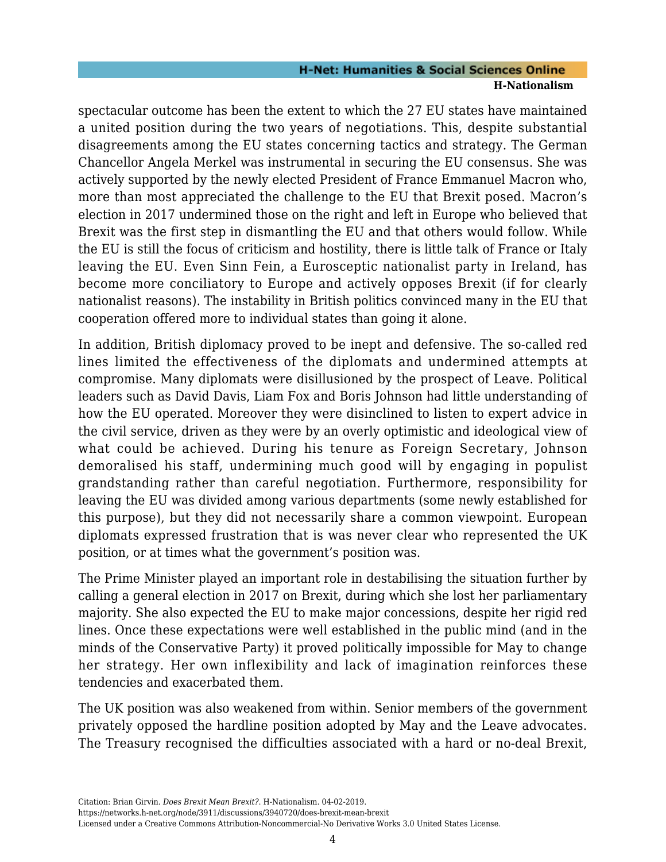spectacular outcome has been the extent to which the 27 EU states have maintained a united position during the two years of negotiations. This, despite substantial disagreements among the EU states concerning tactics and strategy. The German Chancellor Angela Merkel was instrumental in securing the EU consensus. She was actively supported by the newly elected President of France Emmanuel Macron who, more than most appreciated the challenge to the EU that Brexit posed. Macron's election in 2017 undermined those on the right and left in Europe who believed that Brexit was the first step in dismantling the EU and that others would follow. While the EU is still the focus of criticism and hostility, there is little talk of France or Italy leaving the EU. Even Sinn Fein, a Eurosceptic nationalist party in Ireland, has become more conciliatory to Europe and actively opposes Brexit (if for clearly nationalist reasons). The instability in British politics convinced many in the EU that cooperation offered more to individual states than going it alone.

In addition, British diplomacy proved to be inept and defensive. The so-called red lines limited the effectiveness of the diplomats and undermined attempts at compromise. Many diplomats were disillusioned by the prospect of Leave. Political leaders such as David Davis, Liam Fox and Boris Johnson had little understanding of how the EU operated. Moreover they were disinclined to listen to expert advice in the civil service, driven as they were by an overly optimistic and ideological view of what could be achieved. During his tenure as Foreign Secretary, Johnson demoralised his staff, undermining much good will by engaging in populist grandstanding rather than careful negotiation. Furthermore, responsibility for leaving the EU was divided among various departments (some newly established for this purpose), but they did not necessarily share a common viewpoint. European diplomats expressed frustration that is was never clear who represented the UK position, or at times what the government's position was.

The Prime Minister played an important role in destabilising the situation further by calling a general election in 2017 on Brexit, during which she lost her parliamentary majority. She also expected the EU to make major concessions, despite her rigid red lines. Once these expectations were well established in the public mind (and in the minds of the Conservative Party) it proved politically impossible for May to change her strategy. Her own inflexibility and lack of imagination reinforces these tendencies and exacerbated them.

The UK position was also weakened from within. Senior members of the government privately opposed the hardline position adopted by May and the Leave advocates. The Treasury recognised the difficulties associated with a hard or no-deal Brexit,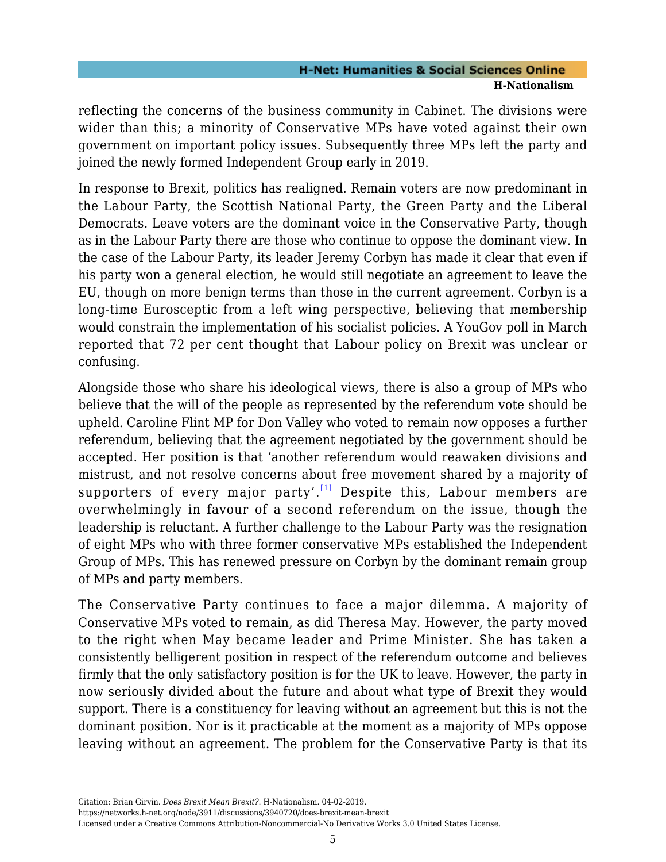reflecting the concerns of the business community in Cabinet. The divisions were wider than this; a minority of Conservative MPs have voted against their own government on important policy issues. Subsequently three MPs left the party and joined the newly formed Independent Group early in 2019.

In response to Brexit, politics has realigned. Remain voters are now predominant in the Labour Party, the Scottish National Party, the Green Party and the Liberal Democrats. Leave voters are the dominant voice in the Conservative Party, though as in the Labour Party there are those who continue to oppose the dominant view. In the case of the Labour Party, its leader Jeremy Corbyn has made it clear that even if his party won a general election, he would still negotiate an agreement to leave the EU, though on more benign terms than those in the current agreement. Corbyn is a long-time Eurosceptic from a left wing perspective, believing that membership would constrain the implementation of his socialist policies. A YouGov poll in March reported that 72 per cent thought that Labour policy on Brexit was unclear or confusing.

<span id="page-4-0"></span>Alongside those who share his ideological views, there is also a group of MPs who believe that the will of the people as represented by the referendum vote should be upheld. Caroline Flint MP for Don Valley who voted to remain now opposes a further referendum, believing that the agreement negotiated by the government should be accepted. Her position is that 'another referendum would reawaken divisions and mistrust, and not resolve concerns about free movement shared by a majority of supporters of every major party'. $\frac{[1]}{[1]}$  $\frac{[1]}{[1]}$  $\frac{[1]}{[1]}$  Despite this, Labour members are overwhelmingly in favour of a second referendum on the issue, though the leadership is reluctant. A further challenge to the Labour Party was the resignation of eight MPs who with three former conservative MPs established the Independent Group of MPs. This has renewed pressure on Corbyn by the dominant remain group of MPs and party members.

The Conservative Party continues to face a major dilemma. A majority of Conservative MPs voted to remain, as did Theresa May. However, the party moved to the right when May became leader and Prime Minister. She has taken a consistently belligerent position in respect of the referendum outcome and believes firmly that the only satisfactory position is for the UK to leave. However, the party in now seriously divided about the future and about what type of Brexit they would support. There is a constituency for leaving without an agreement but this is not the dominant position. Nor is it practicable at the moment as a majority of MPs oppose leaving without an agreement. The problem for the Conservative Party is that its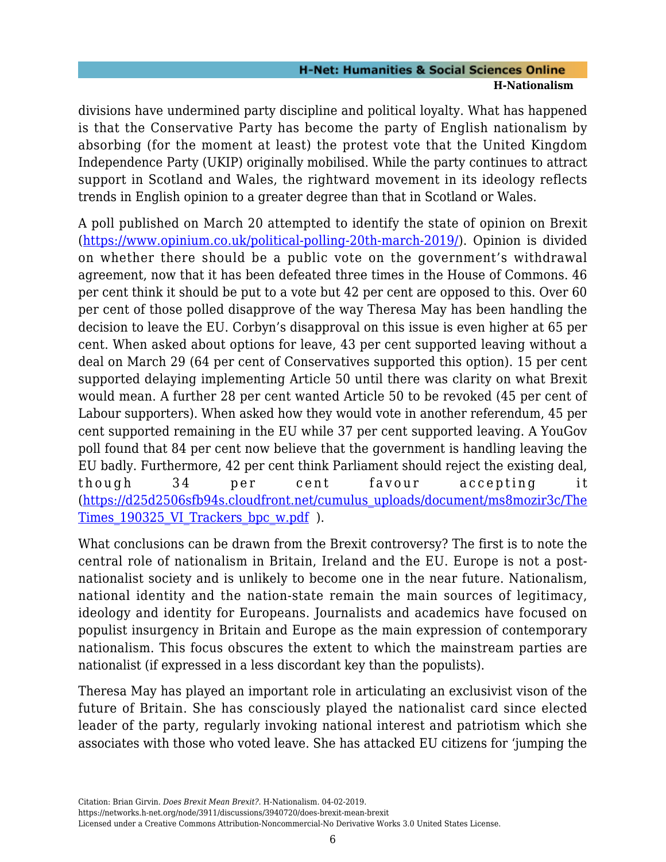divisions have undermined party discipline and political loyalty. What has happened is that the Conservative Party has become the party of English nationalism by absorbing (for the moment at least) the protest vote that the United Kingdom Independence Party (UKIP) originally mobilised. While the party continues to attract support in Scotland and Wales, the rightward movement in its ideology reflects trends in English opinion to a greater degree than that in Scotland or Wales.

A poll published on March 20 attempted to identify the state of opinion on Brexit [\(https://www.opinium.co.uk/political-polling-20th-march-2019/\)](https://www.opinium.co.uk/political-polling-20th-march-2019/). Opinion is divided on whether there should be a public vote on the government's withdrawal agreement, now that it has been defeated three times in the House of Commons. 46 per cent think it should be put to a vote but 42 per cent are opposed to this. Over 60 per cent of those polled disapprove of the way Theresa May has been handling the decision to leave the EU. Corbyn's disapproval on this issue is even higher at 65 per cent. When asked about options for leave, 43 per cent supported leaving without a deal on March 29 (64 per cent of Conservatives supported this option). 15 per cent supported delaying implementing Article 50 until there was clarity on what Brexit would mean. A further 28 per cent wanted Article 50 to be revoked (45 per cent of Labour supporters). When asked how they would vote in another referendum, 45 per cent supported remaining in the EU while 37 per cent supported leaving. A YouGov poll found that 84 per cent now believe that the government is handling leaving the EU badly. Furthermore, 42 per cent think Parliament should reject the existing deal, though 34 per cent favour accepting it [\(https://d25d2506sfb94s.cloudfront.net/cumulus\\_uploads/document/ms8mozir3c/The](https://d25d2506sfb94s.cloudfront.net/cumulus_uploads/document/ms8mozir3c/TheTimes_190325_VI_Trackers_bpc_w.pdf) Times 190325 VI Trackers bpc w.pdf ).

What conclusions can be drawn from the Brexit controversy? The first is to note the central role of nationalism in Britain, Ireland and the EU. Europe is not a postnationalist society and is unlikely to become one in the near future. Nationalism, national identity and the nation-state remain the main sources of legitimacy, ideology and identity for Europeans. Journalists and academics have focused on populist insurgency in Britain and Europe as the main expression of contemporary nationalism. This focus obscures the extent to which the mainstream parties are nationalist (if expressed in a less discordant key than the populists).

Theresa May has played an important role in articulating an exclusivist vison of the future of Britain. She has consciously played the nationalist card since elected leader of the party, regularly invoking national interest and patriotism which she associates with those who voted leave. She has attacked EU citizens for 'jumping the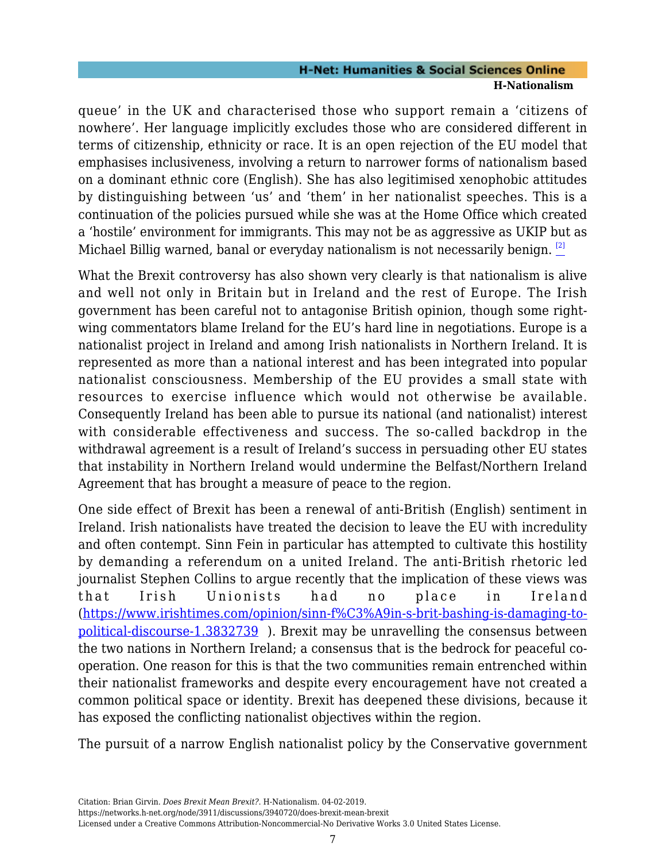queue' in the UK and characterised those who support remain a 'citizens of nowhere'. Her language implicitly excludes those who are considered different in terms of citizenship, ethnicity or race. It is an open rejection of the EU model that emphasises inclusiveness, involving a return to narrower forms of nationalism based on a dominant ethnic core (English). She has also legitimised xenophobic attitudes by distinguishing between 'us' and 'them' in her nationalist speeches. This is a continuation of the policies pursued while she was at the Home Office which created a 'hostile' environment for immigrants. This may not be as aggressive as UKIP but as Michael Billig warned, banal or everyday nationalism is not necessarily benign. <sup>[\[2\]](#page-7-1)</sup>

<span id="page-6-0"></span>What the Brexit controversy has also shown very clearly is that nationalism is alive and well not only in Britain but in Ireland and the rest of Europe. The Irish government has been careful not to antagonise British opinion, though some rightwing commentators blame Ireland for the EU's hard line in negotiations. Europe is a nationalist project in Ireland and among Irish nationalists in Northern Ireland. It is represented as more than a national interest and has been integrated into popular nationalist consciousness. Membership of the EU provides a small state with resources to exercise influence which would not otherwise be available. Consequently Ireland has been able to pursue its national (and nationalist) interest with considerable effectiveness and success. The so-called backdrop in the withdrawal agreement is a result of Ireland's success in persuading other EU states that instability in Northern Ireland would undermine the Belfast/Northern Ireland Agreement that has brought a measure of peace to the region.

One side effect of Brexit has been a renewal of anti-British (English) sentiment in Ireland. Irish nationalists have treated the decision to leave the EU with incredulity and often contempt. Sinn Fein in particular has attempted to cultivate this hostility by demanding a referendum on a united Ireland. The anti-British rhetoric led journalist Stephen Collins to argue recently that the implication of these views was that Irish Unionists had no place in Ireland [\(https://www.irishtimes.com/opinion/sinn-f%C3%A9in-s-brit-bashing-is-damaging-to](https://www.irishtimes.com/opinion/sinn-f%C3%A9in-s-brit-bashing-is-damaging-to-political-discourse-1.3832739)[political-discourse-1.3832739](https://www.irishtimes.com/opinion/sinn-f%C3%A9in-s-brit-bashing-is-damaging-to-political-discourse-1.3832739) ). Brexit may be unravelling the consensus between the two nations in Northern Ireland; a consensus that is the bedrock for peaceful cooperation. One reason for this is that the two communities remain entrenched within their nationalist frameworks and despite every encouragement have not created a common political space or identity. Brexit has deepened these divisions, because it has exposed the conflicting nationalist objectives within the region.

The pursuit of a narrow English nationalist policy by the Conservative government

https://networks.h-net.org/node/3911/discussions/3940720/does-brexit-mean-brexit

Licensed under a Creative Commons Attribution-Noncommercial-No Derivative Works 3.0 United States License.